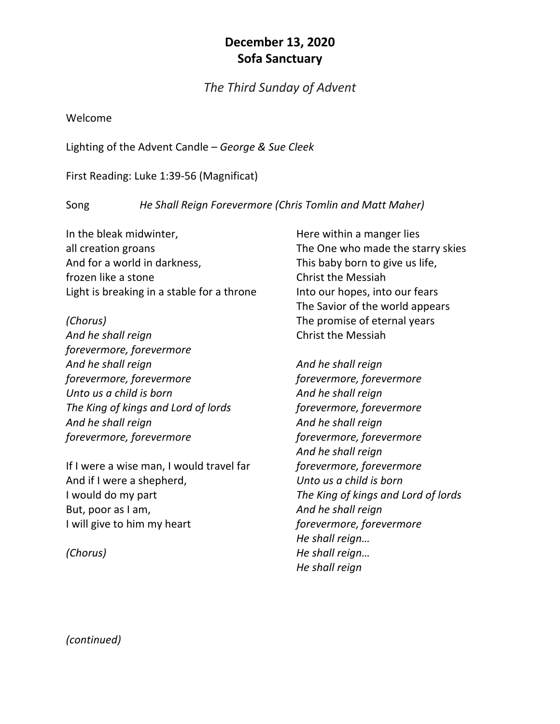# **December 13, 2020 Sofa Sanctuary**

## *The Third Sunday of Advent*

#### Welcome

Lighting of the Advent Candle – *George & Sue Cleek*

First Reading: Luke 1:39-56 (Magnificat)

Song *He Shall Reign Forevermore (Chris Tomlin and Matt Maher)*

In the bleak midwinter, all creation groans And for a world in darkness, frozen like a stone Light is breaking in a stable for a throne

*(Chorus) And he shall reign forevermore, forevermore And he shall reign forevermore, forevermore Unto us a child is born The King of kings and Lord of lords And he shall reign forevermore, forevermore*

If I were a wise man, I would travel far And if I were a shepherd, I would do my part But, poor as I am, I will give to him my heart

*(Chorus)*

Here within a manger lies The One who made the starry skies This baby born to give us life, Christ the Messiah Into our hopes, into our fears The Savior of the world appears The promise of eternal years Christ the Messiah

*And he shall reign forevermore, forevermore And he shall reign forevermore, forevermore And he shall reign forevermore, forevermore And he shall reign forevermore, forevermore Unto us a child is born The King of kings and Lord of lords And he shall reign forevermore, forevermore He shall reign… He shall reign… He shall reign*

*(continued)*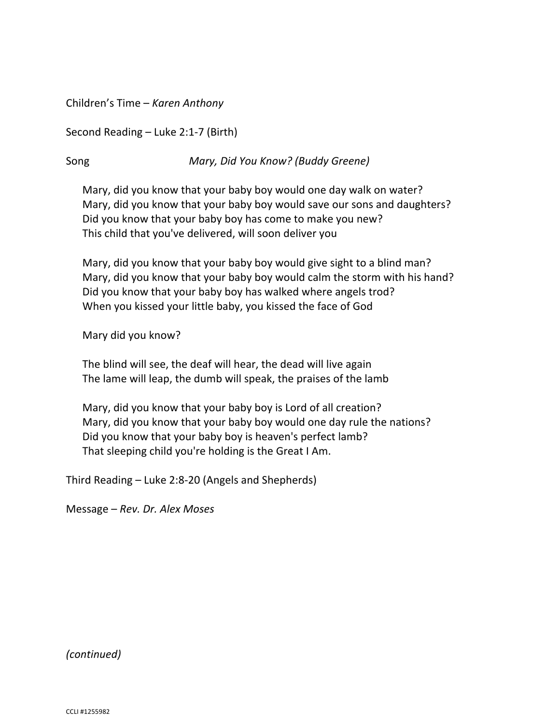Children's Time – *Karen Anthony*

Second Reading – Luke 2:1-7 (Birth)

Song *Mary, Did You Know? (Buddy Greene)*

Mary, did you know that your baby boy would one day walk on water? Mary, did you know that your baby boy would save our sons and daughters? Did you know that your baby boy has come to make you new? This child that you've delivered, will soon deliver you

Mary, did you know that your baby boy would give sight to a blind man? Mary, did you know that your baby boy would calm the storm with his hand? Did you know that your baby boy has walked where angels trod? When you kissed your little baby, you kissed the face of God

Mary did you know?

The blind will see, the deaf will hear, the dead will live again The lame will leap, the dumb will speak, the praises of the lamb

Mary, did you know that your baby boy is Lord of all creation? Mary, did you know that your baby boy would one day rule the nations? Did you know that your baby boy is heaven's perfect lamb? That sleeping child you're holding is the Great I Am.

Third Reading – Luke 2:8-20 (Angels and Shepherds)

Message – *Rev. Dr. Alex Moses*

*(continued)*